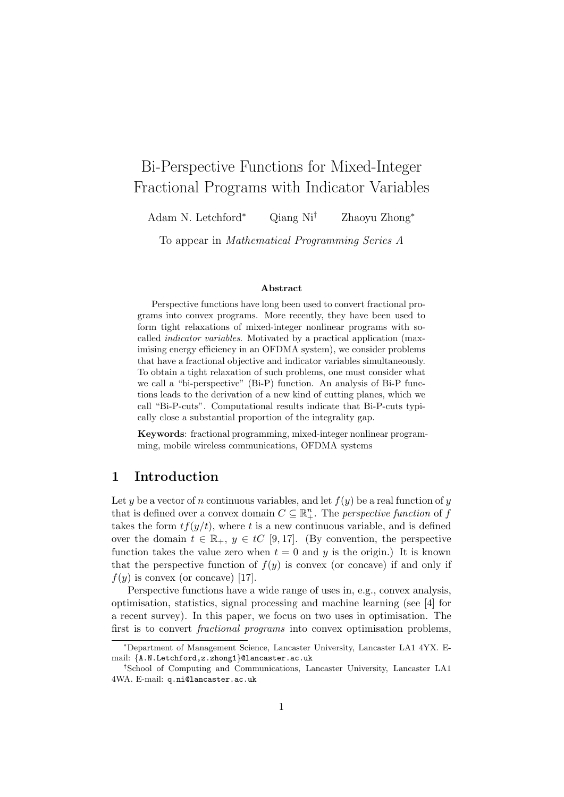# Bi-Perspective Functions for Mixed-Integer Fractional Programs with Indicator Variables

Adam N. Letchford<sup>∗</sup> Qiang Ni† Zhaoyu Zhong<sup>∗</sup>

To appear in Mathematical Programming Series A

#### Abstract

Perspective functions have long been used to convert fractional programs into convex programs. More recently, they have been used to form tight relaxations of mixed-integer nonlinear programs with socalled indicator variables. Motivated by a practical application (maximising energy efficiency in an OFDMA system), we consider problems that have a fractional objective and indicator variables simultaneously. To obtain a tight relaxation of such problems, one must consider what we call a "bi-perspective" (Bi-P) function. An analysis of Bi-P functions leads to the derivation of a new kind of cutting planes, which we call "Bi-P-cuts". Computational results indicate that Bi-P-cuts typically close a substantial proportion of the integrality gap.

Keywords: fractional programming, mixed-integer nonlinear programming, mobile wireless communications, OFDMA systems

### 1 Introduction

Let y be a vector of n continuous variables, and let  $f(y)$  be a real function of y that is defined over a convex domain  $C \subseteq \mathbb{R}^n_+$ . The *perspective function* of f takes the form  $tf(y/t)$ , where t is a new continuous variable, and is defined over the domain  $t \in \mathbb{R}_+$ ,  $y \in tC$  [9,17]. (By convention, the perspective function takes the value zero when  $t = 0$  and y is the origin.) It is known that the perspective function of  $f(y)$  is convex (or concave) if and only if  $f(y)$  is convex (or concave) [17].

Perspective functions have a wide range of uses in, e.g., convex analysis, optimisation, statistics, signal processing and machine learning (see [4] for a recent survey). In this paper, we focus on two uses in optimisation. The first is to convert fractional programs into convex optimisation problems,

<sup>∗</sup>Department of Management Science, Lancaster University, Lancaster LA1 4YX. Email: {A.N.Letchford,z.zhong1}@lancaster.ac.uk

<sup>†</sup>School of Computing and Communications, Lancaster University, Lancaster LA1 4WA. E-mail: q.ni@lancaster.ac.uk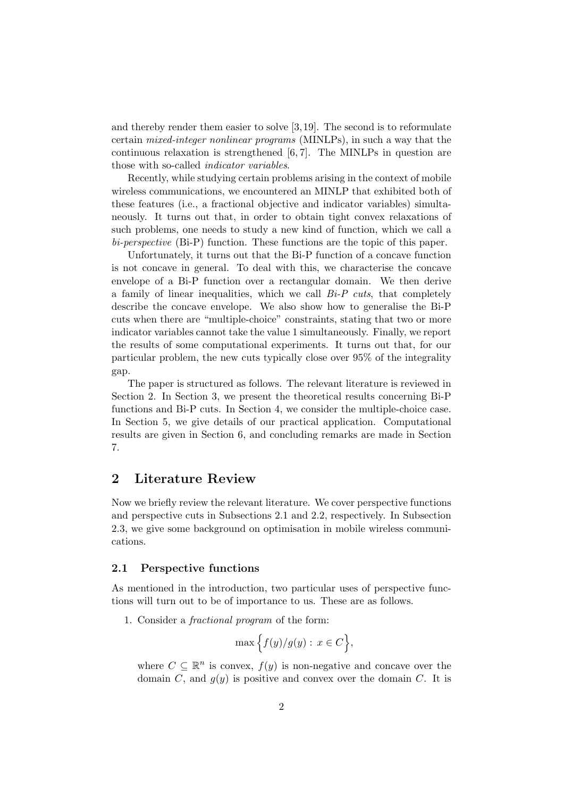and thereby render them easier to solve [3,19]. The second is to reformulate certain mixed-integer nonlinear programs (MINLPs), in such a way that the continuous relaxation is strengthened [6, 7]. The MINLPs in question are those with so-called indicator variables.

Recently, while studying certain problems arising in the context of mobile wireless communications, we encountered an MINLP that exhibited both of these features (i.e., a fractional objective and indicator variables) simultaneously. It turns out that, in order to obtain tight convex relaxations of such problems, one needs to study a new kind of function, which we call a bi-perspective (Bi-P) function. These functions are the topic of this paper.

Unfortunately, it turns out that the Bi-P function of a concave function is not concave in general. To deal with this, we characterise the concave envelope of a Bi-P function over a rectangular domain. We then derive a family of linear inequalities, which we call  $Bi-P$  cuts, that completely describe the concave envelope. We also show how to generalise the Bi-P cuts when there are "multiple-choice" constraints, stating that two or more indicator variables cannot take the value 1 simultaneously. Finally, we report the results of some computational experiments. It turns out that, for our particular problem, the new cuts typically close over 95% of the integrality gap.

The paper is structured as follows. The relevant literature is reviewed in Section 2. In Section 3, we present the theoretical results concerning Bi-P functions and Bi-P cuts. In Section 4, we consider the multiple-choice case. In Section 5, we give details of our practical application. Computational results are given in Section 6, and concluding remarks are made in Section 7.

### 2 Literature Review

Now we briefly review the relevant literature. We cover perspective functions and perspective cuts in Subsections 2.1 and 2.2, respectively. In Subsection 2.3, we give some background on optimisation in mobile wireless communications.

### 2.1 Perspective functions

As mentioned in the introduction, two particular uses of perspective functions will turn out to be of importance to us. These are as follows.

1. Consider a fractional program of the form:

$$
\max\Big\{f(y)/g(y): x \in C\Big\},\
$$

where  $C \subseteq \mathbb{R}^n$  is convex,  $f(y)$  is non-negative and concave over the domain C, and  $q(y)$  is positive and convex over the domain C. It is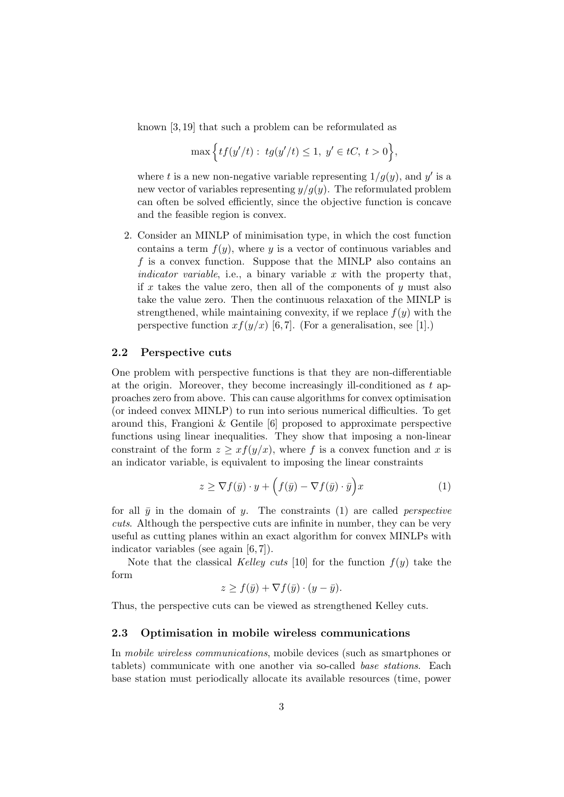known [3, 19] that such a problem can be reformulated as

$$
\max \Big\{tf(y'/t): \; tg(y'/t) \leq 1, \; y' \in tC, \; t > 0 \Big\},
$$

where t is a new non-negative variable representing  $1/g(y)$ , and y' is a new vector of variables representing  $y/g(y)$ . The reformulated problem can often be solved efficiently, since the objective function is concave and the feasible region is convex.

2. Consider an MINLP of minimisation type, in which the cost function contains a term  $f(y)$ , where y is a vector of continuous variables and f is a convex function. Suppose that the MINLP also contains an indicator variable, i.e., a binary variable  $x$  with the property that, if  $x$  takes the value zero, then all of the components of  $y$  must also take the value zero. Then the continuous relaxation of the MINLP is strengthened, while maintaining convexity, if we replace  $f(y)$  with the perspective function  $xf(y/x)$  [6,7]. (For a generalisation, see [1].)

### 2.2 Perspective cuts

One problem with perspective functions is that they are non-differentiable at the origin. Moreover, they become increasingly ill-conditioned as t approaches zero from above. This can cause algorithms for convex optimisation (or indeed convex MINLP) to run into serious numerical difficulties. To get around this, Frangioni & Gentile [6] proposed to approximate perspective functions using linear inequalities. They show that imposing a non-linear constraint of the form  $z \geq x f(y/x)$ , where f is a convex function and x is an indicator variable, is equivalent to imposing the linear constraints

$$
z \ge \nabla f(\bar{y}) \cdot y + \left(f(\bar{y}) - \nabla f(\bar{y}) \cdot \bar{y}\right)x\tag{1}
$$

for all  $\bar{y}$  in the domain of y. The constraints (1) are called *perspective* cuts. Although the perspective cuts are infinite in number, they can be very useful as cutting planes within an exact algorithm for convex MINLPs with indicator variables (see again [6, 7]).

Note that the classical Kelley cuts [10] for the function  $f(y)$  take the form

$$
z \ge f(\bar{y}) + \nabla f(\bar{y}) \cdot (y - \bar{y}).
$$

Thus, the perspective cuts can be viewed as strengthened Kelley cuts.

#### 2.3 Optimisation in mobile wireless communications

In mobile wireless communications, mobile devices (such as smartphones or tablets) communicate with one another via so-called base stations. Each base station must periodically allocate its available resources (time, power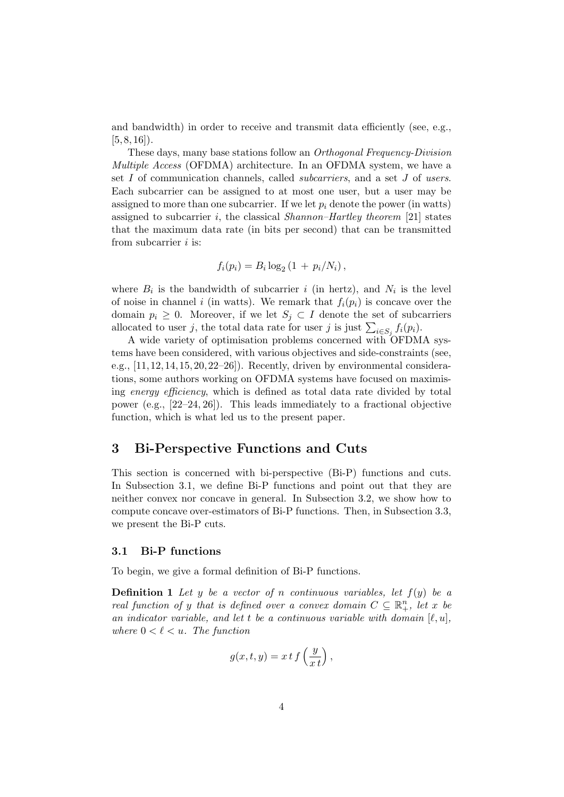and bandwidth) in order to receive and transmit data efficiently (see, e.g.,  $[5, 8, 16]$ .

These days, many base stations follow an Orthogonal Frequency-Division Multiple Access (OFDMA) architecture. In an OFDMA system, we have a set I of communication channels, called subcarriers, and a set J of users. Each subcarrier can be assigned to at most one user, but a user may be assigned to more than one subcarrier. If we let  $p_i$  denote the power (in watts) assigned to subcarrier i, the classical Shannon–Hartley theorem  $[21]$  states that the maximum data rate (in bits per second) that can be transmitted from subcarrier  $i$  is:

$$
f_i(p_i) = B_i \log_2 \left(1 + p_i/N_i\right),\,
$$

where  $B_i$  is the bandwidth of subcarrier i (in hertz), and  $N_i$  is the level of noise in channel i (in watts). We remark that  $f_i(p_i)$  is concave over the domain  $p_i \geq 0$ . Moreover, if we let  $S_j \subset I$  denote the set of subcarriers allocated to user j, the total data rate for user j is just  $\sum_{i \in S_j} f_i(p_i)$ .

A wide variety of optimisation problems concerned with OFDMA systems have been considered, with various objectives and side-constraints (see, e.g.,  $[11, 12, 14, 15, 20, 22-26]$ . Recently, driven by environmental considerations, some authors working on OFDMA systems have focused on maximising energy efficiency, which is defined as total data rate divided by total power (e.g., [22–24, 26]). This leads immediately to a fractional objective function, which is what led us to the present paper.

### 3 Bi-Perspective Functions and Cuts

This section is concerned with bi-perspective (Bi-P) functions and cuts. In Subsection 3.1, we define Bi-P functions and point out that they are neither convex nor concave in general. In Subsection 3.2, we show how to compute concave over-estimators of Bi-P functions. Then, in Subsection 3.3, we present the Bi-P cuts.

#### 3.1 Bi-P functions

To begin, we give a formal definition of Bi-P functions.

**Definition 1** Let y be a vector of n continuous variables, let  $f(y)$  be a real function of y that is defined over a convex domain  $C \subseteq \mathbb{R}^n_+$ , let x be an indicator variable, and let t be a continuous variable with domain  $[\ell, u]$ , where  $0 < \ell < u$ . The function

$$
g(x,t,y) = x t f\left(\frac{y}{x t}\right),\,
$$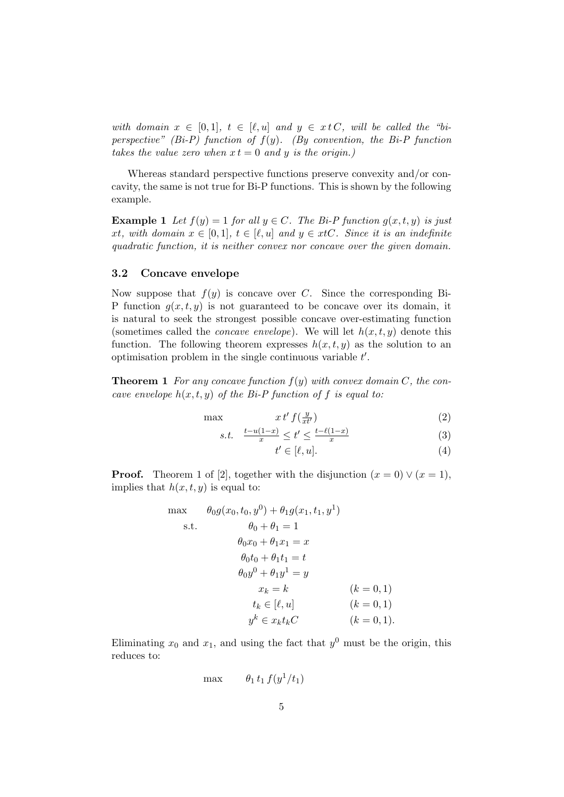with domain  $x \in [0,1], t \in [\ell, u]$  and  $y \in xtC$ , will be called the "biperspective" (Bi-P) function of  $f(y)$ . (By convention, the Bi-P function takes the value zero when  $xt = 0$  and y is the origin.)

Whereas standard perspective functions preserve convexity and/or concavity, the same is not true for Bi-P functions. This is shown by the following example.

**Example 1** Let  $f(y) = 1$  for all  $y \in C$ . The Bi-P function  $g(x, t, y)$  is just xt, with domain  $x \in [0,1]$ ,  $t \in [\ell, u]$  and  $y \in xtC$ . Since it is an indefinite quadratic function, it is neither convex nor concave over the given domain.

### 3.2 Concave envelope

Now suppose that  $f(y)$  is concave over C. Since the corresponding Bi-P function  $g(x, t, y)$  is not guaranteed to be concave over its domain, it is natural to seek the strongest possible concave over-estimating function (sometimes called the *concave envelope*). We will let  $h(x, t, y)$  denote this function. The following theorem expresses  $h(x, t, y)$  as the solution to an optimisation problem in the single continuous variable  $t'$ .

**Theorem 1** For any concave function  $f(y)$  with convex domain C, the concave envelope  $h(x, t, y)$  of the Bi-P function of f is equal to:

$$
\max \qquad \qquad x \, t' \, f\left(\frac{y}{xt'}\right) \tag{2}
$$

$$
s.t. \quad \frac{t - u(1 - x)}{x} \le t' \le \frac{t - \ell(1 - x)}{x} \tag{3}
$$

$$
t' \in [\ell, u]. \tag{4}
$$

**Proof.** Theorem 1 of [2], together with the disjunction  $(x = 0) \vee (x = 1)$ , implies that  $h(x, t, y)$  is equal to:

max  
\n
$$
\theta_0 g(x_0, t_0, y^0) + \theta_1 g(x_1, t_1, y^1)
$$
  
\ns.t.  
\n $\theta_0 + \theta_1 = 1$   
\n $\theta_0 x_0 + \theta_1 x_1 = x$   
\n $\theta_0 t_0 + \theta_1 t_1 = t$   
\n $\theta_0 y^0 + \theta_1 y^1 = y$   
\n $x_k = k$  (k = 0, 1)  
\n $t_k \in [\ell, u]$  (k = 0, 1)  
\n $y^k \in x_k t_k C$  (k = 0, 1).

Eliminating  $x_0$  and  $x_1$ , and using the fact that  $y^0$  must be the origin, this reduces to:

$$
\max \qquad \theta_1 \, t_1 \, f(y^1/t_1)
$$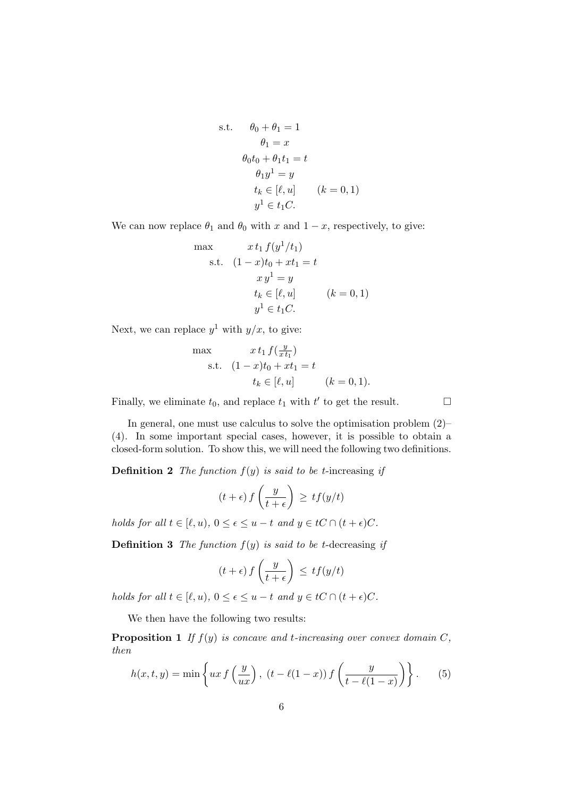s.t. 
$$
\theta_0 + \theta_1 = 1
$$

$$
\theta_1 = x
$$

$$
\theta_0 t_0 + \theta_1 t_1 = t
$$

$$
\theta_1 y^1 = y
$$

$$
t_k \in [\ell, u] \qquad (k = 0, 1)
$$

$$
y^1 \in t_1 C.
$$

We can now replace  $\theta_1$  and  $\theta_0$  with x and  $1 - x$ , respectively, to give:

max 
$$
xt_1 f(y^1/t_1)
$$
  
\ns.t.  $(1-x)t_0 + xt_1 = t$   
\n $xy^1 = y$   
\n $t_k \in [\ell, u]$   $(k = 0, 1)$   
\n $y^1 \in t_1 C$ .

Next, we can replace  $y^1$  with  $y/x$ , to give:

max 
$$
xt_1 f(\frac{y}{xt_1})
$$
  
s.t.  $(1-x)t_0 + xt_1 = t$   
 $t_k \in [\ell, u]$   $(k = 0, 1).$ 

Finally, we eliminate  $t_0$ , and replace  $t_1$  with  $t'$  to get the result.

In general, one must use calculus to solve the optimisation problem (2)– (4). In some important special cases, however, it is possible to obtain a closed-form solution. To show this, we will need the following two definitions.

**Definition 2** The function  $f(y)$  is said to be t-increasing if

$$
(t+\epsilon) f\left(\frac{y}{t+\epsilon}\right) \geq tf(y/t)
$$

holds for all  $t \in [\ell, u), 0 \le \epsilon \le u - t$  and  $y \in tC \cap (t + \epsilon)C$ .

**Definition 3** The function  $f(y)$  is said to be t-decreasing if

$$
(t+\epsilon) f\left(\frac{y}{t+\epsilon}\right) \leq tf(y/t)
$$

holds for all  $t \in [\ell, u), 0 \le \epsilon \le u - t$  and  $y \in tC \cap (t + \epsilon)C$ .

We then have the following two results:

**Proposition 1** If  $f(y)$  is concave and t-increasing over convex domain C, then

$$
h(x,t,y) = \min\left\{ux f\left(\frac{y}{ux}\right), \ (t - \ell(1-x)) f\left(\frac{y}{t - \ell(1-x)}\right)\right\}.
$$
 (5)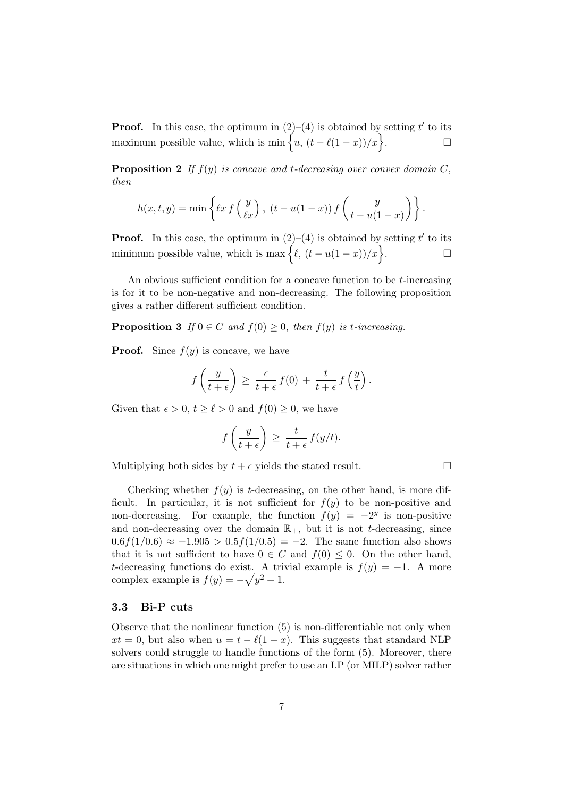**Proof.** In this case, the optimum in  $(2)$ – $(4)$  is obtained by setting t' to its maximum possible value, which is min  $\{u, (t - \ell(1 - x))/x\}$ .

**Proposition 2** If  $f(y)$  is concave and t-decreasing over convex domain C, then

$$
h(x,t,y) = \min\left\{ \ell x f\left(\frac{y}{\ell x}\right), \ (t - u(1-x)) f\left(\frac{y}{t - u(1-x)}\right) \right\}.
$$

**Proof.** In this case, the optimum in  $(2)$ – $(4)$  is obtained by setting t' to its minimum possible value, which is max  $\{ \ell, (t - u(1 - x))/x \}$  $\Box$ 

An obvious sufficient condition for a concave function to be t-increasing is for it to be non-negative and non-decreasing. The following proposition gives a rather different sufficient condition.

**Proposition 3** If  $0 \in C$  and  $f(0) \ge 0$ , then  $f(y)$  is t-increasing.

**Proof.** Since  $f(y)$  is concave, we have

$$
f\left(\frac{y}{t+\epsilon}\right) \geq \frac{\epsilon}{t+\epsilon} f(0) + \frac{t}{t+\epsilon} f\left(\frac{y}{t}\right).
$$

Given that  $\epsilon > 0$ ,  $t \ge \ell > 0$  and  $f(0) \ge 0$ , we have

$$
f\left(\frac{y}{t+\epsilon}\right) \ge \frac{t}{t+\epsilon} f(y/t).
$$

Multiplying both sides by  $t + \epsilon$  yields the stated result.

Checking whether  $f(y)$  is t-decreasing, on the other hand, is more difficult. In particular, it is not sufficient for  $f(y)$  to be non-positive and non-decreasing. For example, the function  $f(y) = -2^y$  is non-positive and non-decreasing over the domain  $\mathbb{R}_+$ , but it is not t-decreasing, since  $0.6f(1/0.6) \approx -1.905 > 0.5f(1/0.5) = -2$ . The same function also shows that it is not sufficient to have  $0 \in C$  and  $f(0) \leq 0$ . On the other hand, t-decreasing functions do exist. A trivial example is  $f(y) = -1$ . A more complex example is  $f(y) = -\sqrt{y^2 + 1}$ .

### 3.3 Bi-P cuts

Observe that the nonlinear function (5) is non-differentiable not only when  $xt = 0$ , but also when  $u = t - \ell(1 - x)$ . This suggests that standard NLP solvers could struggle to handle functions of the form (5). Moreover, there are situations in which one might prefer to use an LP (or MILP) solver rather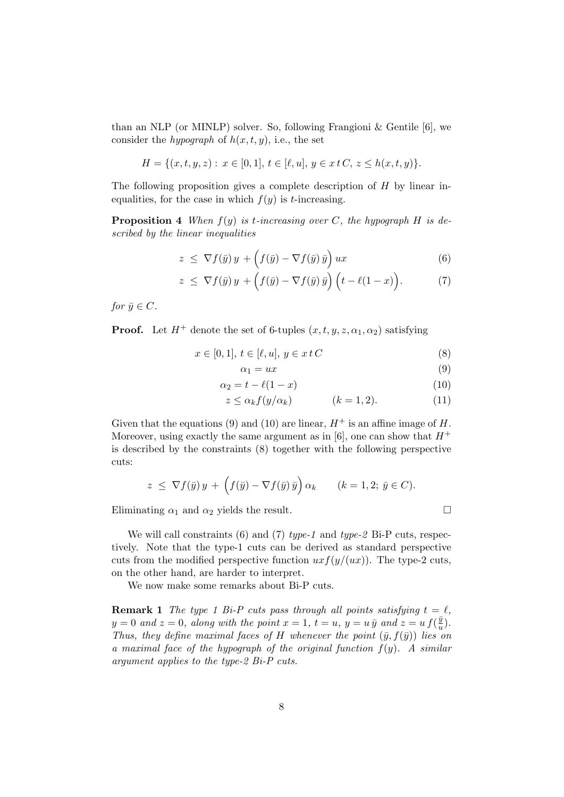than an NLP (or MINLP) solver. So, following Frangioni & Gentile  $[6]$ , we consider the hypograph of  $h(x, t, y)$ , i.e., the set

$$
H = \{(x, t, y, z) : x \in [0, 1], t \in [\ell, u], y \in x \, t \, C, z \le h(x, t, y)\}.
$$

The following proposition gives a complete description of H by linear inequalities, for the case in which  $f(y)$  is *t*-increasing.

**Proposition 4** When  $f(y)$  is t-increasing over C, the hypograph H is described by the linear inequalities

$$
z \leq \nabla f(\bar{y}) y + \left( f(\bar{y}) - \nabla f(\bar{y}) \bar{y} \right) ux \tag{6}
$$

$$
z \leq \nabla f(\bar{y}) y + \left( f(\bar{y}) - \nabla f(\bar{y}) \bar{y} \right) \left( t - \ell(1-x) \right). \tag{7}
$$

for  $\bar{y} \in C$ .

**Proof.** Let  $H^+$  denote the set of 6-tuples  $(x, t, y, z, \alpha_1, \alpha_2)$  satisfying

$$
x \in [0,1], t \in [\ell, u], y \in x \, t \, C \tag{8}
$$

$$
\alpha_1 = ux \tag{9}
$$

$$
\alpha_2 = t - \ell(1 - x) \tag{10}
$$

$$
z \le \alpha_k f(y/\alpha_k) \qquad (k = 1, 2). \tag{11}
$$

Given that the equations (9) and (10) are linear,  $H^+$  is an affine image of H. Moreover, using exactly the same argument as in [6], one can show that  $H^+$ is described by the constraints (8) together with the following perspective cuts:

$$
z \leq \nabla f(\bar{y}) y + \left( f(\bar{y}) - \nabla f(\bar{y}) \bar{y} \right) \alpha_k \qquad (k = 1, 2; \ \bar{y} \in C).
$$

Eliminating  $\alpha_1$  and  $\alpha_2$  yields the result.

We will call constraints (6) and (7) type-1 and type-2 Bi-P cuts, respectively. Note that the type-1 cuts can be derived as standard perspective cuts from the modified perspective function  $uxf(y/(ux))$ . The type-2 cuts, on the other hand, are harder to interpret.

We now make some remarks about Bi-P cuts.

**Remark 1** The type 1 Bi-P cuts pass through all points satisfying  $t = \ell$ ,  $y = 0$  and  $z = 0$ , along with the point  $x = 1$ ,  $t = u$ ,  $y = u\bar{y}$  and  $z = u f(x)$  $\frac{y}{u}$ . Thus, they define maximal faces of H whenever the point  $(\bar{y}, f(\bar{y}))$  lies on a maximal face of the hypograph of the original function  $f(y)$ . A similar argument applies to the type-2 Bi-P cuts.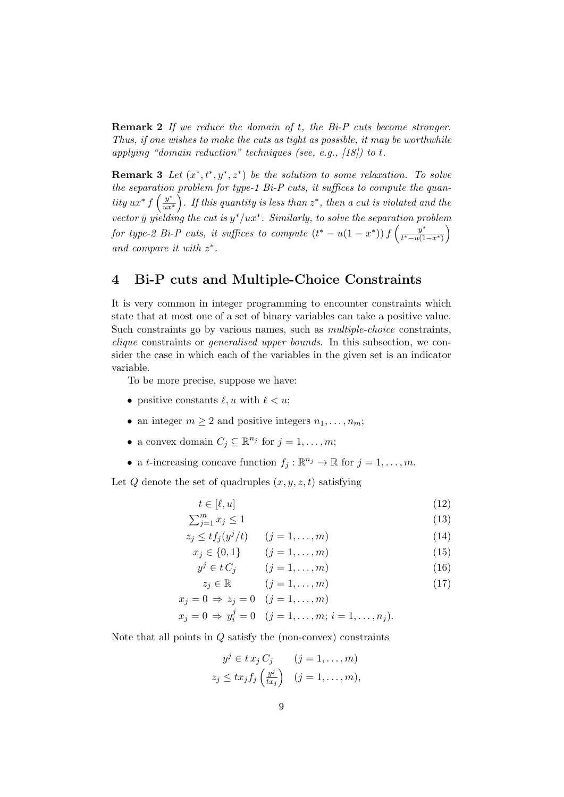**Remark 2** If we reduce the domain of t, the Bi-P cuts become stronger. Thus, if one wishes to make the cuts as tight as possible, it may be worthwhile applying "domain reduction" techniques (see, e.g.,  $[18]$ ) to t.

**Remark 3** Let  $(x^*, t^*, y^*, z^*)$  be the solution to some relaxation. To solve the separation problem for type-1 Bi-P cuts, it suffices to compute the quantity ux<sup>\*</sup> f  $\left(\frac{y^*}{yx}\right)$  $\frac{y^*}{yx^*}$ ). If this quantity is less than  $z^*$ , then a cut is violated and the vector  $\bar{y}$  yielding the cut is  $y^*/ux^*$ . Similarly, to solve the separation problem for type-2 Bi-P cuts, it suffices to compute  $(t^* - u(1-x^*)) f\left(\frac{y^*}{t^* - u(1-x^*)}\right)$  $\frac{y^*}{t^*-u(1-x^*)}$ and compare it with  $z^*$ .

# 4 Bi-P cuts and Multiple-Choice Constraints

It is very common in integer programming to encounter constraints which state that at most one of a set of binary variables can take a positive value. Such constraints go by various names, such as multiple-choice constraints, clique constraints or generalised upper bounds. In this subsection, we consider the case in which each of the variables in the given set is an indicator variable.

To be more precise, suppose we have:

- positive constants  $\ell, u$  with  $\ell < u$ ;
- an integer  $m \geq 2$  and positive integers  $n_1, \ldots, n_m$ ;
- a convex domain  $C_j \subseteq \mathbb{R}^{n_j}$  for  $j = 1, \ldots, m;$
- a *t*-increasing concave function  $f_j : \mathbb{R}^{n_j} \to \mathbb{R}$  for  $j = 1, ..., m$ .

Let Q denote the set of quadruples  $(x, y, z, t)$  satisfying

$$
t \in [\ell, u] \tag{12}
$$

$$
\sum_{j=1}^{m} x_j \le 1\tag{13}
$$

$$
z_j \le tf_j(y^j/t) \qquad (j=1,\ldots,m) \tag{14}
$$

$$
x_j \in \{0, 1\} \qquad (j = 1, \dots, m) \tag{15}
$$

$$
y^j \in t \, C_j \qquad (j = 1, \dots, m) \tag{16}
$$

$$
z_j \in \mathbb{R} \qquad (j = 1, \dots, m) \tag{17}
$$

$$
x_j = 0 \Rightarrow z_j = 0 \quad (j = 1, \dots, m)
$$

$$
x_j = 0 \Rightarrow y_i^j = 0 \quad (j = 1, ..., m; i = 1, ..., n_j).
$$

Note that all points in Q satisfy the (non-convex) constraints

$$
y^{j} \in t x_{j} C_{j} \qquad (j = 1, ..., m)
$$
  

$$
z_{j} \leq tx_{j} f_{j} \left(\frac{y^{j}}{tx_{j}}\right) \quad (j = 1, ..., m),
$$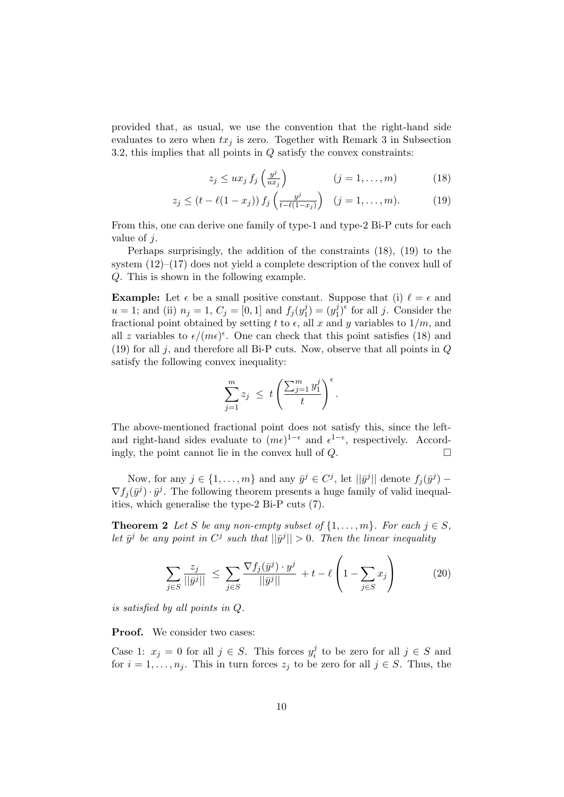provided that, as usual, we use the convention that the right-hand side evaluates to zero when  $tx_i$  is zero. Together with Remark 3 in Subsection 3.2, this implies that all points in Q satisfy the convex constraints:

$$
z_j \le ux_j \, f_j\left(\frac{y^j}{ux_j}\right) \qquad (j=1,\ldots,m) \tag{18}
$$

$$
z_j \le (t - \ell(1 - x_j)) f_j \left( \frac{y^j}{t - \ell(1 - x_j)} \right) \quad (j = 1, \dots, m). \tag{19}
$$

From this, one can derive one family of type-1 and type-2 Bi-P cuts for each value of j.

Perhaps surprisingly, the addition of the constraints (18), (19) to the system  $(12)$ – $(17)$  does not yield a complete description of the convex hull of Q. This is shown in the following example.

**Example:** Let  $\epsilon$  be a small positive constant. Suppose that (i)  $\ell = \epsilon$  and  $u = 1$ ; and (ii)  $n_j = 1, C_j = [0, 1]$  and  $f_j(y_1^j)$  $y_1^j$ ) =  $(y_1^j)$  $j_1^j$  for all j. Consider the fractional point obtained by setting t to  $\epsilon$ , all x and y variables to  $1/m$ , and all z variables to  $\epsilon/(m\epsilon)^{\epsilon}$ . One can check that this point satisfies (18) and (19) for all  $j$ , and therefore all Bi-P cuts. Now, observe that all points in  $Q$ satisfy the following convex inequality:

$$
\sum_{j=1}^m z_j \ \leq \ t \left( \frac{\sum_{j=1}^m y_1^j}{t} \right)^{\epsilon}.
$$

The above-mentioned fractional point does not satisfy this, since the leftand right-hand sides evaluate to  $(m\epsilon)^{1-\epsilon}$  and  $\epsilon^{1-\epsilon}$ , respectively. Accordingly, the point cannot lie in the convex hull of  $Q$ .

Now, for any  $j \in \{1, \ldots, m\}$  and any  $\bar{y}^j \in C^j$ , let  $||\bar{y}^j||$  denote  $f_j(\bar{y}^j)$  –  $\nabla f_j(\bar{y}^j) \cdot \bar{y}^j$ . The following theorem presents a huge family of valid inequalities, which generalise the type-2 Bi-P cuts (7).

**Theorem 2** Let S be any non-empty subset of  $\{1, \ldots, m\}$ . For each  $j \in S$ , let  $\bar{y}^j$  be any point in  $C^j$  such that  $||\bar{y}^j|| > 0$ . Then the linear inequality

$$
\sum_{j \in S} \frac{z_j}{||\bar{y}^j||} \le \sum_{j \in S} \frac{\nabla f_j(\bar{y}^j) \cdot y^j}{||\bar{y}^j||} + t - \ell \left(1 - \sum_{j \in S} x_j\right) \tag{20}
$$

is satisfied by all points in Q.

Proof. We consider two cases:

Case 1:  $x_j = 0$  for all  $j \in S$ . This forces  $y_i^j$  $j_i^j$  to be zero for all  $j \in S$  and for  $i = 1, \ldots, n_j$ . This in turn forces  $z_j$  to be zero for all  $j \in S$ . Thus, the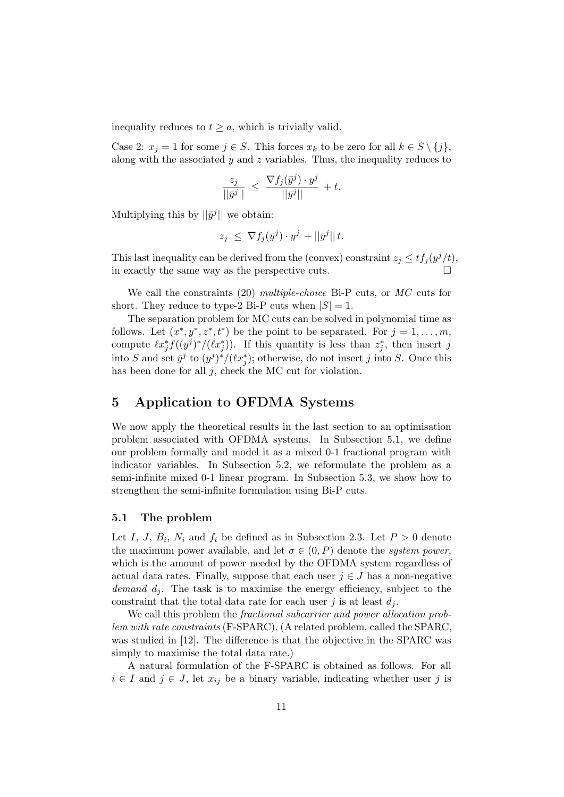inequality reduces to  $t \geq a$ , which is trivially valid.

Case 2:  $x_j = 1$  for some  $j \in S$ . This forces  $x_k$  to be zero for all  $k \in S \setminus \{j\}$ , along with the associated  $y$  and  $z$  variables. Thus, the inequality reduces to

$$
\frac{z_j}{\vert \vert \bar y^j \vert \vert} \ \leq \ \frac{\nabla f_j(\bar y^j) \cdot y^j}{\vert \vert \bar y^j \vert \vert} \, + t.
$$

Multiplying this by  $\|\bar{y}^j\|$  we obtain:

$$
z_j \ \leq \ \nabla f_j(\bar{y}^j) \cdot y^j \ + ||\bar{y}^j|| \ t.
$$

This last inequality can be derived from the (convex) constraint  $z_j \leq tf_j(y^j/t)$ , in exactly the same way as the perspective cuts.

We call the constraints (20) *multiple-choice* Bi-P cuts, or MC cuts for short. They reduce to type-2 Bi-P cuts when  $|S| = 1$ .

The separation problem for MC cuts can be solved in polynomial time as follows. Let  $(x^*, y^*, z^*, t^*)$  be the point to be separated. For  $j = 1, \ldots, m$ , compute  $\ell x_j^* f((y^j)^*/(\ell x_j^*))$ . If this quantity is less than  $z_j^*$ , then insert j into S and set  $\bar{y}^j$  to  $(y^j)^*/(\ell x^*_j)$ ; otherwise, do not insert j into S. Once this has been done for all  $j$ , check the MC cut for violation.

### 5 Application to OFDMA Systems

We now apply the theoretical results in the last section to an optimisation problem associated with OFDMA systems. In Subsection 5.1, we define our problem formally and model it as a mixed 0-1 fractional program with indicator variables. In Subsection 5.2, we reformulate the problem as a semi-infinite mixed 0-1 linear program. In Subsection 5.3, we show how to strengthen the semi-infinite formulation using Bi-P cuts.

### 5.1 The problem

Let I, J,  $B_i$ ,  $N_i$  and  $f_i$  be defined as in Subsection 2.3. Let  $P > 0$  denote the maximum power available, and let  $\sigma \in (0, P)$  denote the system power, which is the amount of power needed by the OFDMA system regardless of actual data rates. Finally, suppose that each user  $j \in J$  has a non-negative demand  $d_i$ . The task is to maximise the energy efficiency, subject to the constraint that the total data rate for each user j is at least  $d_i$ .

We call this problem the *fractional subcarrier and power allocation prob*lem with rate constraints (F-SPARC). (A related problem, called the SPARC, was studied in [12]. The difference is that the objective in the SPARC was simply to maximise the total data rate.)

A natural formulation of the F-SPARC is obtained as follows. For all  $i \in I$  and  $j \in J$ , let  $x_{ij}$  be a binary variable, indicating whether user j is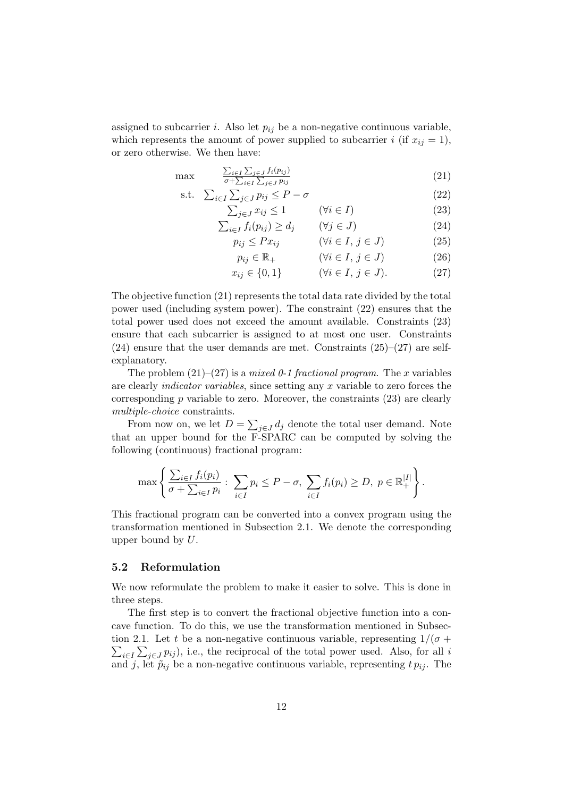assigned to subcarrier i. Also let  $p_{ij}$  be a non-negative continuous variable, which represents the amount of power supplied to subcarrier i (if  $x_{ij} = 1$ ), or zero otherwise. We then have:

$$
\max \qquad \frac{\sum_{i \in I} \sum_{j \in J} f_i(p_{ij})}{\sigma + \sum_{i \in I} \sum_{j \in J} p_{ij}} \tag{21}
$$

$$
\text{s.t.} \quad \sum_{i \in I} \sum_{j \in J} p_{ij} \le P - \sigma \tag{22}
$$

$$
\sum_{j \in J} x_{ij} \le 1 \qquad (\forall i \in I) \tag{23}
$$

$$
\sum_{i \in I} f_i(p_{ij}) \ge d_j \qquad (\forall j \in J)
$$
\n(24)

$$
p_{ij} \le Px_{ij} \qquad (\forall i \in I, j \in J) \tag{25}
$$

$$
p_{ij} \in \mathbb{R}_+ \qquad (\forall i \in I, j \in J) \tag{26}
$$

$$
x_{ij} \in \{0, 1\} \qquad (\forall i \in I, j \in J). \tag{27}
$$

The objective function (21) represents the total data rate divided by the total power used (including system power). The constraint (22) ensures that the total power used does not exceed the amount available. Constraints (23) ensure that each subcarrier is assigned to at most one user. Constraints  $(24)$  ensure that the user demands are met. Constraints  $(25)-(27)$  are selfexplanatory.

The problem  $(21)$ – $(27)$  is a mixed 0-1 fractional program. The x variables are clearly indicator variables, since setting any x variable to zero forces the corresponding  $p$  variable to zero. Moreover, the constraints  $(23)$  are clearly multiple-choice constraints.

From now on, we let  $D = \sum_{j \in J} d_j$  denote the total user demand. Note that an upper bound for the F-SPARC can be computed by solving the following (continuous) fractional program:

$$
\max\left\{\frac{\sum_{i\in I}f_i(p_i)}{\sigma+\sum_{i\in I}p_i}: \sum_{i\in I}p_i\leq P-\sigma, \sum_{i\in I}f_i(p_i)\geq D, p\in\mathbb{R}_+^{|I|}\right\}.
$$

This fractional program can be converted into a convex program using the transformation mentioned in Subsection 2.1. We denote the corresponding upper bound by U.

#### 5.2 Reformulation

We now reformulate the problem to make it easier to solve. This is done in three steps.

The first step is to convert the fractional objective function into a concave function. To do this, we use the transformation mentioned in Subsec- $\sum_{i\in I}\sum_{j\in J}p_{ij}$ , i.e., the reciprocal of the total power used. Also, for all i tion 2.1. Let t be a non-negative continuous variable, representing  $1/(\sigma +$ and j, let  $\tilde{p}_{ij}$  be a non-negative continuous variable, representing  $tp_{ij}$ . The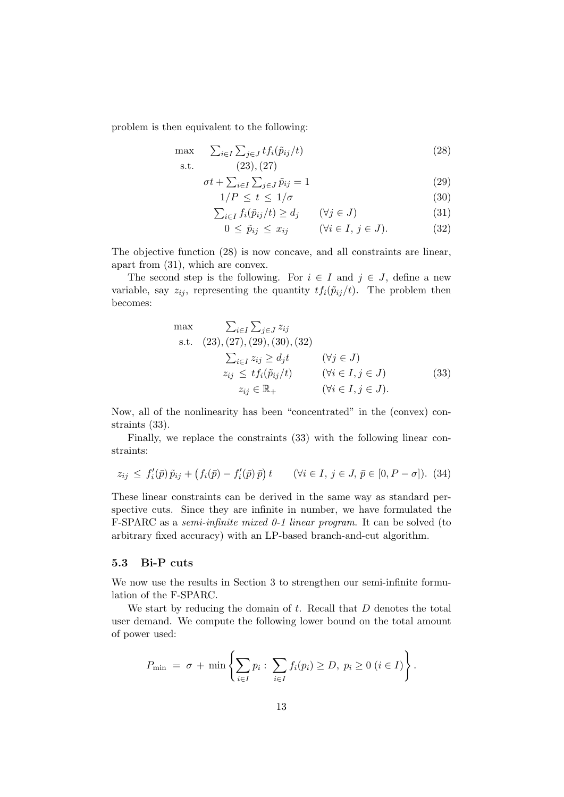problem is then equivalent to the following:

$$
\max \sum_{i \in I} \sum_{j \in J} t f_i(\tilde{p}_{ij}/t)
$$
\n
$$
\text{s.t.} \quad (23), (27)
$$
\n
$$
(28)
$$

$$
\sigma t + \sum_{i \in I} \sum_{j \in J} \tilde{p}_{ij} = 1 \tag{29}
$$

$$
1/P \le t \le 1/\sigma \tag{30}
$$

$$
\sum_{i \in I} f_i(\tilde{p}_{ij}/t) \ge d_j \qquad (\forall j \in J)
$$
\n(31)

$$
0 \leq \tilde{p}_{ij} \leq x_{ij} \qquad (\forall i \in I, j \in J). \tag{32}
$$

The objective function (28) is now concave, and all constraints are linear, apart from (31), which are convex.

The second step is the following. For  $i \in I$  and  $j \in J$ , define a new variable, say  $z_{ij}$ , representing the quantity  $tf_i(\tilde{p}_{ij}/t)$ . The problem then becomes:

$$
\max \sum_{i \in I} \sum_{j \in J} z_{ij}
$$
\n
$$
\text{s.t.} \quad (23), (27), (29), (30), (32)
$$
\n
$$
\sum_{i \in I} z_{ij} \ge d_j t \qquad (\forall j \in J)
$$
\n
$$
z_{ij} \le tf_i(\tilde{p}_{ij}/t) \qquad (\forall i \in I, j \in J)
$$
\n
$$
z_{ij} \in \mathbb{R}_+ \qquad (\forall i \in I, j \in J).
$$
\n
$$
(33)
$$

Now, all of the nonlinearity has been "concentrated" in the (convex) constraints (33).

Finally, we replace the constraints (33) with the following linear constraints:

$$
z_{ij} \le f'_i(\bar{p}) \, \tilde{p}_{ij} + (f_i(\bar{p}) - f'_i(\bar{p}) \, \bar{p}) \, t \qquad (\forall i \in I, j \in J, \, \bar{p} \in [0, P - \sigma]). \tag{34}
$$

These linear constraints can be derived in the same way as standard perspective cuts. Since they are infinite in number, we have formulated the F-SPARC as a semi-infinite mixed 0-1 linear program. It can be solved (to arbitrary fixed accuracy) with an LP-based branch-and-cut algorithm.

### 5.3 Bi-P cuts

We now use the results in Section 3 to strengthen our semi-infinite formulation of the F-SPARC.

We start by reducing the domain of  $t$ . Recall that  $D$  denotes the total user demand. We compute the following lower bound on the total amount of power used:

$$
P_{\min} = \sigma + \min \left\{ \sum_{i \in I} p_i : \sum_{i \in I} f_i(p_i) \ge D, \ p_i \ge 0 \ (i \in I) \right\}.
$$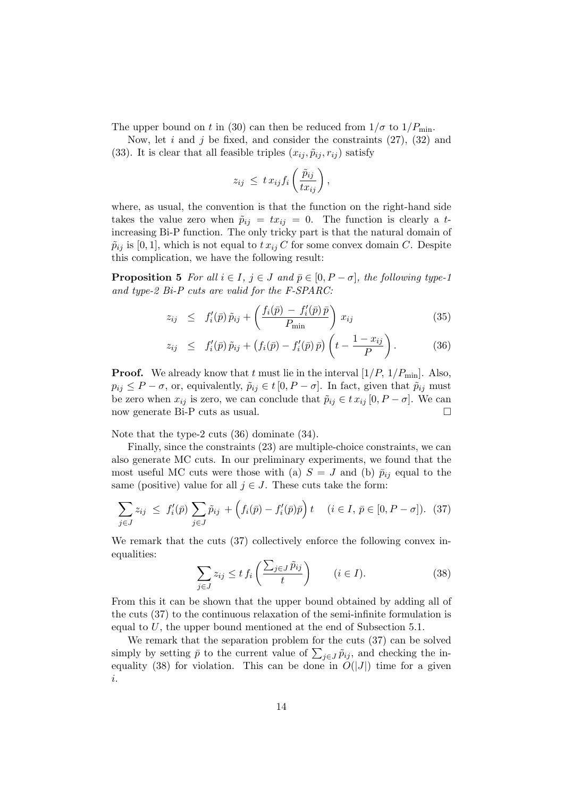The upper bound on t in (30) can then be reduced from  $1/\sigma$  to  $1/P_{\text{min}}$ .

Now, let  $i$  and  $j$  be fixed, and consider the constraints  $(27)$ ,  $(32)$  and (33). It is clear that all feasible triples  $(x_{ij}, \tilde{p}_{ij}, r_{ij})$  satisfy

$$
z_{ij} \leq t \, x_{ij} f_i \left( \frac{\tilde{p}_{ij}}{t x_{ij}} \right),
$$

where, as usual, the convention is that the function on the right-hand side takes the value zero when  $\tilde{p}_{ij} = tx_{ij} = 0$ . The function is clearly a tincreasing Bi-P function. The only tricky part is that the natural domain of  $\tilde{p}_{ij}$  is [0, 1], which is not equal to  $tx_{ij}$  C for some convex domain C. Despite this complication, we have the following result:

**Proposition 5** For all  $i \in I$ ,  $j \in J$  and  $\bar{p} \in [0, P - \sigma]$ , the following type-1 and type-2 Bi-P cuts are valid for the F-SPARC:

$$
z_{ij} \leq f'_i(\bar{p}) \tilde{p}_{ij} + \left(\frac{f_i(\bar{p}) - f'_i(\bar{p}) \bar{p}}{P_{\min}}\right) x_{ij} \tag{35}
$$

$$
z_{ij} \leq f'_i(\bar{p}) \tilde{p}_{ij} + (f_i(\bar{p}) - f'_i(\bar{p}) \bar{p}) \left( t - \frac{1 - x_{ij}}{P} \right). \tag{36}
$$

**Proof.** We already know that t must lie in the interval  $[1/P, 1/P_{min}]$ . Also,  $p_{ij} \leq P - \sigma$ , or, equivalently,  $\tilde{p}_{ij} \in t[0, P - \sigma]$ . In fact, given that  $\tilde{p}_{ij}$  must be zero when  $x_{ij}$  is zero, we can conclude that  $\tilde{p}_{ij} \in t \, x_{ij} \, [0, P - \sigma]$ . We can now generate Bi-P cuts as usual.

Note that the type-2 cuts (36) dominate (34).

Finally, since the constraints (23) are multiple-choice constraints, we can also generate MC cuts. In our preliminary experiments, we found that the most useful MC cuts were those with (a)  $S = J$  and (b)  $\bar{p}_{ij}$  equal to the same (positive) value for all  $j \in J$ . These cuts take the form:

$$
\sum_{j \in J} z_{ij} \le f'_i(\bar{p}) \sum_{j \in J} \tilde{p}_{ij} + \left(f_i(\bar{p}) - f'_i(\bar{p})\bar{p}\right)t \quad (i \in I, \, \bar{p} \in [0, P - \sigma]). \tag{37}
$$

We remark that the cuts  $(37)$  collectively enforce the following convex inequalities:

$$
\sum_{j \in J} z_{ij} \le t \, f_i \left( \frac{\sum_{j \in J} \tilde{p}_{ij}}{t} \right) \qquad (i \in I). \tag{38}
$$

From this it can be shown that the upper bound obtained by adding all of the cuts (37) to the continuous relaxation of the semi-infinite formulation is equal to U, the upper bound mentioned at the end of Subsection 5.1.

We remark that the separation problem for the cuts (37) can be solved simply by setting  $\bar{p}$  to the current value of  $\sum_{j\in J} \tilde{p}_{ij}$ , and checking the inequality (38) for violation. This can be done in  $O(|J|)$  time for a given i.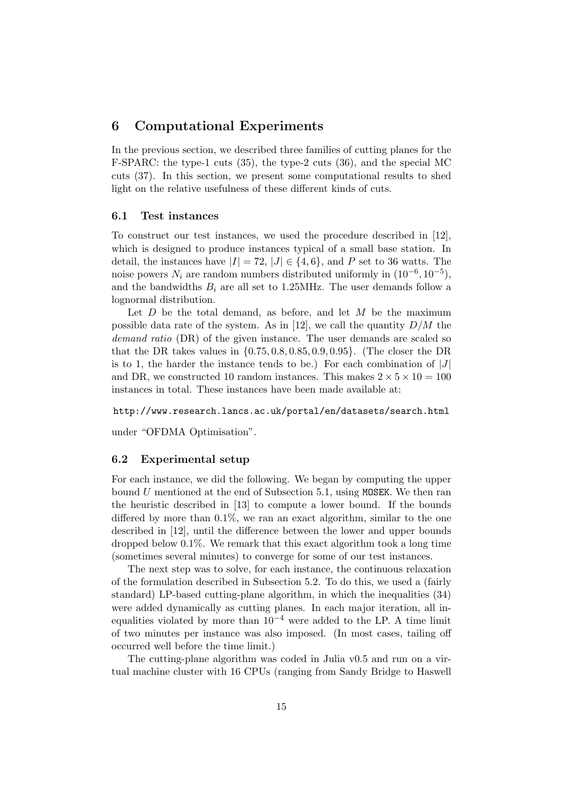### 6 Computational Experiments

In the previous section, we described three families of cutting planes for the F-SPARC: the type-1 cuts (35), the type-2 cuts (36), and the special MC cuts (37). In this section, we present some computational results to shed light on the relative usefulness of these different kinds of cuts.

#### 6.1 Test instances

To construct our test instances, we used the procedure described in [12], which is designed to produce instances typical of a small base station. In detail, the instances have  $|I| = 72$ ,  $|J| \in \{4, 6\}$ , and P set to 36 watts. The noise powers  $N_i$  are random numbers distributed uniformly in  $(10^{-6}, 10^{-5})$ , and the bandwidths  $B_i$  are all set to 1.25MHz. The user demands follow a lognormal distribution.

Let  $D$  be the total demand, as before, and let  $M$  be the maximum possible data rate of the system. As in [12], we call the quantity  $D/M$  the demand ratio (DR) of the given instance. The user demands are scaled so that the DR takes values in  $\{0.75, 0.8, 0.85, 0.9, 0.95\}$ . (The closer the DR is to 1, the harder the instance tends to be.) For each combination of  $|J|$ and DR, we constructed 10 random instances. This makes  $2 \times 5 \times 10 = 100$ instances in total. These instances have been made available at:

http://www.research.lancs.ac.uk/portal/en/datasets/search.html

under "OFDMA Optimisation".

### 6.2 Experimental setup

For each instance, we did the following. We began by computing the upper bound  $U$  mentioned at the end of Subsection 5.1, using MOSEK. We then ran the heuristic described in [13] to compute a lower bound. If the bounds differed by more than 0.1%, we ran an exact algorithm, similar to the one described in [12], until the difference between the lower and upper bounds dropped below 0.1%. We remark that this exact algorithm took a long time (sometimes several minutes) to converge for some of our test instances.

The next step was to solve, for each instance, the continuous relaxation of the formulation described in Subsection 5.2. To do this, we used a (fairly standard) LP-based cutting-plane algorithm, in which the inequalities (34) were added dynamically as cutting planes. In each major iteration, all inequalities violated by more than  $10^{-4}$  were added to the LP. A time limit of two minutes per instance was also imposed. (In most cases, tailing off occurred well before the time limit.)

The cutting-plane algorithm was coded in Julia v0.5 and run on a virtual machine cluster with 16 CPUs (ranging from Sandy Bridge to Haswell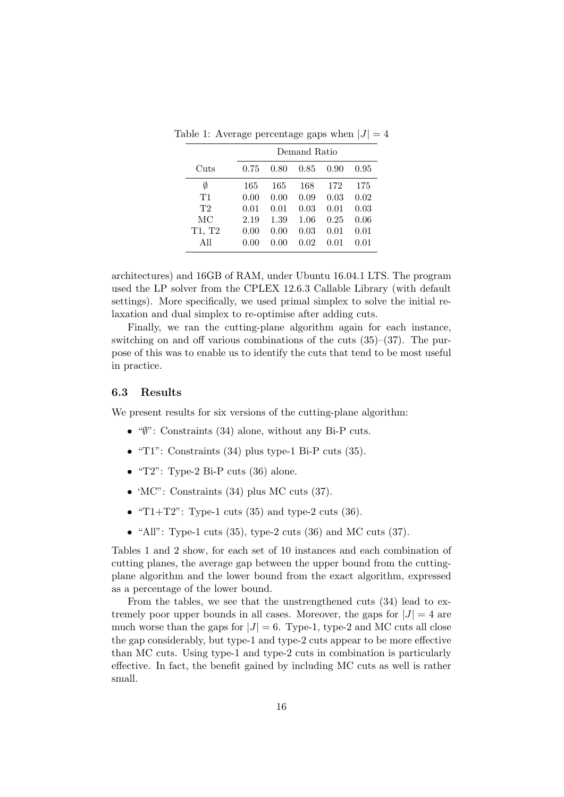|        |      | Demand Ratio |      |      |      |  |  |  |
|--------|------|--------------|------|------|------|--|--|--|
| Cuts   | 0.75 | 0.80         | 0.85 | 0.90 | 0.95 |  |  |  |
| Ø      | 165  | 165          | 168  | 172  | 175  |  |  |  |
| Т1     | 0.00 | 0.00         | 0.09 | 0.03 | 0.02 |  |  |  |
| T2     | 0.01 | 0.01         | 0.03 | 0.01 | 0.03 |  |  |  |
| МC     | 2.19 | 1.39         | 1.06 | 0.25 | 0.06 |  |  |  |
| T1, T2 | 0.00 | 0.00         | 0.03 | 0.01 | 0.01 |  |  |  |
| A11    | 0.00 | 0.00         | 0.02 | 0.01 | 0.01 |  |  |  |

Table 1: Average percentage gaps when  $|J| = 4$ 

architectures) and 16GB of RAM, under Ubuntu 16.04.1 LTS. The program used the LP solver from the CPLEX 12.6.3 Callable Library (with default settings). More specifically, we used primal simplex to solve the initial relaxation and dual simplex to re-optimise after adding cuts.

Finally, we ran the cutting-plane algorithm again for each instance, switching on and off various combinations of the cuts  $(35)$ – $(37)$ . The purpose of this was to enable us to identify the cuts that tend to be most useful in practice.

#### 6.3 Results

We present results for six versions of the cutting-plane algorithm:

- "∅": Constraints (34) alone, without any Bi-P cuts.
- "T1": Constraints  $(34)$  plus type-1 Bi-P cuts  $(35)$ .
- "T2": Type-2 Bi-P cuts  $(36)$  alone.
- 'MC": Constraints (34) plus MC cuts (37).
- "T1+T2": Type-1 cuts  $(35)$  and type-2 cuts  $(36)$ .
- "All": Type-1 cuts  $(35)$ , type-2 cuts  $(36)$  and MC cuts  $(37)$ .

Tables 1 and 2 show, for each set of 10 instances and each combination of cutting planes, the average gap between the upper bound from the cuttingplane algorithm and the lower bound from the exact algorithm, expressed as a percentage of the lower bound.

From the tables, we see that the unstrengthened cuts (34) lead to extremely poor upper bounds in all cases. Moreover, the gaps for  $|J| = 4$  are much worse than the gaps for  $|J| = 6$ . Type-1, type-2 and MC cuts all close the gap considerably, but type-1 and type-2 cuts appear to be more effective than MC cuts. Using type-1 and type-2 cuts in combination is particularly effective. In fact, the benefit gained by including MC cuts as well is rather small.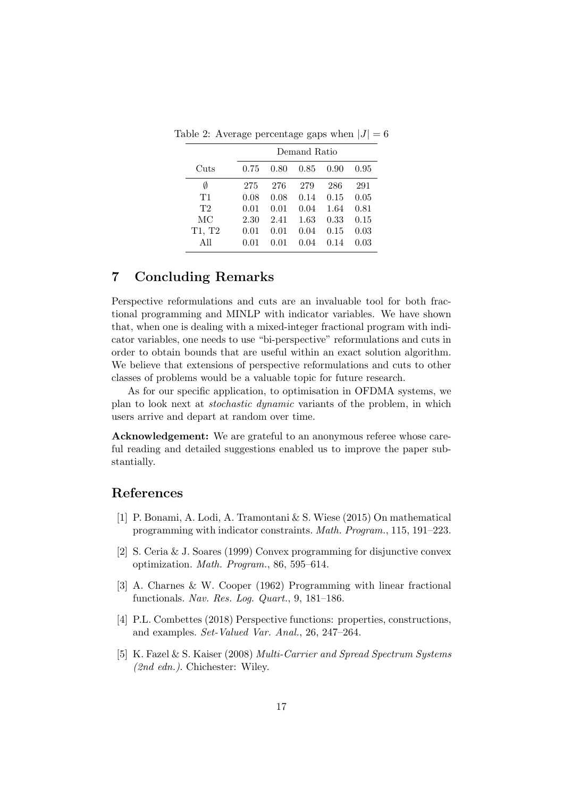|        |      | Demand Ratio |      |      |      |  |  |  |
|--------|------|--------------|------|------|------|--|--|--|
| Cuts   | 0.75 | 0.80         | 0.85 | 0.90 | 0.95 |  |  |  |
| Ø      | 275  | 276          | 279  | 286  | 291  |  |  |  |
| T1     | 0.08 | 0.08         | 0.14 | 0.15 | 0.05 |  |  |  |
| T2     | 0.01 | 0.01         | 0.04 | 1.64 | 0.81 |  |  |  |
| МC     | 2.30 | 2.41         | 1.63 | 0.33 | 0.15 |  |  |  |
| T1, T2 | 0.01 | 0.01         | 0.04 | 0.15 | 0.03 |  |  |  |
| A11    | 0.01 | 0.01         | 0.04 | 0.14 | 0.03 |  |  |  |

Table 2: Average percentage gaps when  $|J| = 6$ 

### 7 Concluding Remarks

Perspective reformulations and cuts are an invaluable tool for both fractional programming and MINLP with indicator variables. We have shown that, when one is dealing with a mixed-integer fractional program with indicator variables, one needs to use "bi-perspective" reformulations and cuts in order to obtain bounds that are useful within an exact solution algorithm. We believe that extensions of perspective reformulations and cuts to other classes of problems would be a valuable topic for future research.

As for our specific application, to optimisation in OFDMA systems, we plan to look next at stochastic dynamic variants of the problem, in which users arrive and depart at random over time.

Acknowledgement: We are grateful to an anonymous referee whose careful reading and detailed suggestions enabled us to improve the paper substantially.

## References

- [1] P. Bonami, A. Lodi, A. Tramontani & S. Wiese (2015) On mathematical programming with indicator constraints. Math. Program., 115, 191–223.
- [2] S. Ceria & J. Soares (1999) Convex programming for disjunctive convex optimization. Math. Program., 86, 595–614.
- [3] A. Charnes & W. Cooper (1962) Programming with linear fractional functionals. Nav. Res. Log. Quart., 9, 181–186.
- [4] P.L. Combettes (2018) Perspective functions: properties, constructions, and examples. Set-Valued Var. Anal., 26, 247–264.
- [5] K. Fazel & S. Kaiser (2008) Multi-Carrier and Spread Spectrum Systems (2nd edn.). Chichester: Wiley.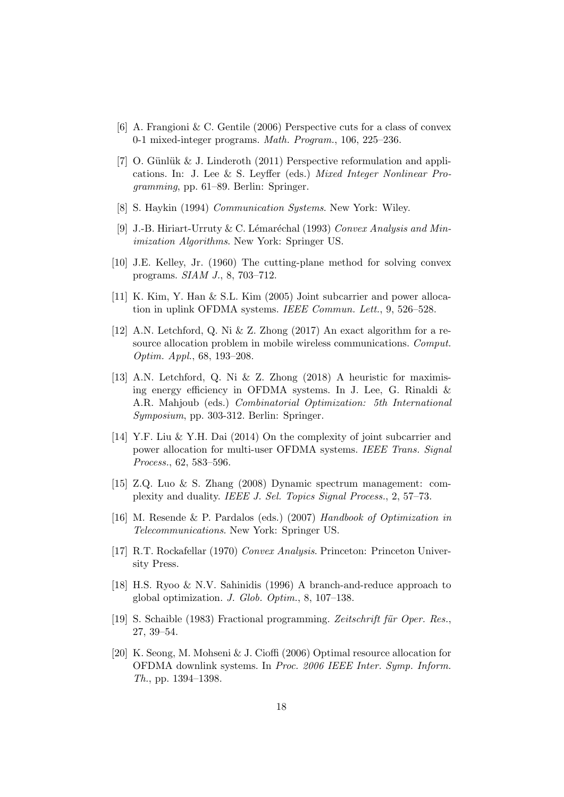- [6] A. Frangioni & C. Gentile (2006) Perspective cuts for a class of convex 0-1 mixed-integer programs. Math. Program., 106, 225–236.
- [7] O. Günlük & J. Linderoth (2011) Perspective reformulation and applications. In: J. Lee & S. Leyffer (eds.) Mixed Integer Nonlinear Programming, pp. 61–89. Berlin: Springer.
- [8] S. Haykin (1994) Communication Systems. New York: Wiley.
- [9] J.-B. Hiriart-Urruty & C. Lémaréchal (1993) Convex Analysis and Minimization Algorithms. New York: Springer US.
- [10] J.E. Kelley, Jr. (1960) The cutting-plane method for solving convex programs. SIAM J., 8, 703–712.
- [11] K. Kim, Y. Han & S.L. Kim (2005) Joint subcarrier and power allocation in uplink OFDMA systems. IEEE Commun. Lett., 9, 526–528.
- [12] A.N. Letchford, Q. Ni & Z. Zhong (2017) An exact algorithm for a resource allocation problem in mobile wireless communications. Comput. Optim. Appl., 68, 193–208.
- [13] A.N. Letchford, Q. Ni & Z. Zhong (2018) A heuristic for maximising energy efficiency in OFDMA systems. In J. Lee, G. Rinaldi & A.R. Mahjoub (eds.) Combinatorial Optimization: 5th International Symposium, pp. 303-312. Berlin: Springer.
- [14] Y.F. Liu & Y.H. Dai (2014) On the complexity of joint subcarrier and power allocation for multi-user OFDMA systems. IEEE Trans. Signal Process., 62, 583–596.
- [15] Z.Q. Luo & S. Zhang (2008) Dynamic spectrum management: complexity and duality. IEEE J. Sel. Topics Signal Process., 2, 57–73.
- [16] M. Resende & P. Pardalos (eds.) (2007) Handbook of Optimization in Telecommunications. New York: Springer US.
- [17] R.T. Rockafellar (1970) Convex Analysis. Princeton: Princeton University Press.
- [18] H.S. Ryoo & N.V. Sahinidis (1996) A branch-and-reduce approach to global optimization. J. Glob. Optim., 8, 107–138.
- [19] S. Schaible (1983) Fractional programming. Zeitschrift für Oper. Res., 27, 39–54.
- [20] K. Seong, M. Mohseni & J. Cioffi (2006) Optimal resource allocation for OFDMA downlink systems. In Proc. 2006 IEEE Inter. Symp. Inform. Th., pp. 1394–1398.